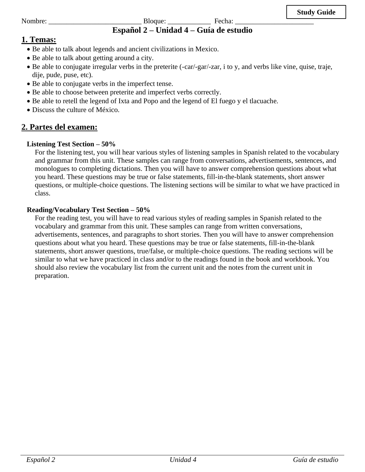#### Nombre: \_\_\_\_\_\_\_\_\_\_\_\_\_\_\_\_\_\_\_\_\_\_\_\_\_\_ Bloque: \_\_\_\_\_\_\_\_\_\_\_\_ Fecha: \_\_\_\_\_\_\_\_\_\_\_\_\_\_\_\_\_\_\_\_\_\_ **Español 2 – Unidad 4 – Guía de estudio**

## **1. Temas:**

- Be able to talk about legends and ancient civilizations in Mexico.
- Be able to talk about getting around a city.
- Be able to conjugate irregular verbs in the preterite (-car/-gar/-zar, i to y, and verbs like vine, quise, traje, dije, pude, puse, etc).
- Be able to conjugate verbs in the imperfect tense.
- Be able to choose between preterite and imperfect verbs correctly.
- Be able to retell the legend of Ixta and Popo and the legend of El fuego y el tlacuache.
- Discuss the culture of México.

## **2. Partes del examen:**

### **Listening Test Section – 50%**

For the listening test, you will hear various styles of listening samples in Spanish related to the vocabulary and grammar from this unit. These samples can range from conversations, advertisements, sentences, and monologues to completing dictations. Then you will have to answer comprehension questions about what you heard. These questions may be true or false statements, fill-in-the-blank statements, short answer questions, or multiple-choice questions. The listening sections will be similar to what we have practiced in class.

### **Reading/Vocabulary Test Section – 50%**

For the reading test, you will have to read various styles of reading samples in Spanish related to the vocabulary and grammar from this unit. These samples can range from written conversations, advertisements, sentences, and paragraphs to short stories. Then you will have to answer comprehension questions about what you heard. These questions may be true or false statements, fill-in-the-blank statements, short answer questions, true/false, or multiple-choice questions. The reading sections will be similar to what we have practiced in class and/or to the readings found in the book and workbook. You should also review the vocabulary list from the current unit and the notes from the current unit in preparation.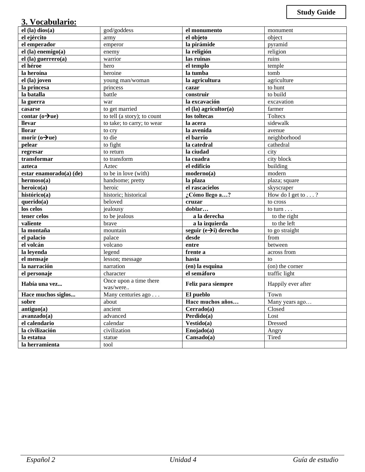## **3. Vocabulario:**

| $\cdots$ $\cdots$ $\cdots$          |                                    |                                   |                           |
|-------------------------------------|------------------------------------|-----------------------------------|---------------------------|
| $el$ (la) dios(a)                   | god/goddess                        | el monumento                      | monument                  |
| el ejército                         | army                               | el objeto                         | object                    |
| el emperador                        | emperor                            | la pirámide                       | pyramid                   |
| $el$ (la) enemigo(a)                | enemy                              | la religión                       | religion                  |
| el (la) guerrero(a)                 | warrior                            | las ruinas                        | ruins                     |
| el héroe                            | hero                               | el templo                         | temple                    |
| la heroína                          | heroine                            | la tumba                          | tomb                      |
| $\overline{el}$ (la) joven          | young man/woman                    | la agricultura                    | agriculture               |
| la princesa                         | princess                           | cazar                             | to hunt                   |
| la batalla                          | battle                             | construir                         | to build                  |
| la guerra                           | war                                | la excavación                     | excavation                |
| casarse                             | to get married                     | el (la) agricultor(a)             | farmer                    |
| contar $(o\rightarrow u$ e)         | to tell (a story); to count        | los toltecas                      | Toltecs                   |
| <b>llevar</b>                       | to take; to carry; to wear         | la acera                          | sidewalk                  |
| <b>llorar</b>                       | to cry                             | la avenida                        | avenue                    |
| morir $\overline{(o\rightarrow u)}$ | to die                             | el barrio                         | neighborhood              |
| pelear                              | to fight                           | la catedral                       | cathedral                 |
| regresar                            | to return                          | la ciudad                         | city                      |
| transformar                         | to transform                       | la cuadra                         | city block                |
| azteca                              | Aztec                              | el edificio                       | building                  |
| estar enamorado(a) (de)             | to be in love (with)               | moderno(a)                        | modern                    |
| hermoso(a)                          | handsome; pretty                   | la plaza                          | plaza; square             |
| heroico(a)                          | heroic                             | el rascacielos                    | skyscraper                |
| histórico(a)                        | historic; historical               | ¿Cómo llego a?                    | How do I get to $\dots$ ? |
| querido(a)                          | beloved                            | cruzar                            | to cross                  |
| los celos                           | jealousy                           | doblar                            | to turn $\ldots$          |
| tener celos                         | to be jealous                      | a la derecha                      | to the right              |
| valiente                            | brave                              | a la izquierda                    | to the left               |
| la montaña                          | mountain                           | seguir $(e\rightarrow i)$ derecho | to go straight            |
| el palacio                          | palace                             | desde                             | from                      |
| el volcán                           | volcano                            | entre                             | between                   |
| la leyenda                          | legend                             | frente a                          | across from               |
| el mensaje                          | lesson; message                    | hasta                             | to                        |
| la narración                        | narration                          | (en) la esquina                   | (on) the corner           |
| el personaje                        | character                          | el semáforo                       | traffic light             |
| Había una vez                       | Once upon a time there<br>was/were | Feliz para siempre                | Happily ever after        |
| Hace muchos siglos                  | Many centuries $ago \dots$         | El pueblo                         | Town                      |
| sobre                               | about                              | Hace muchos años                  | Many years ago            |
| antiguo(a)                          | ancient                            | Cerrado(a)                        | Closed                    |
| avanzado(a)                         | advanced                           | Perdido(a)                        | Lost                      |
| el calendario                       | calendar                           | Vestido(a)                        | Dressed                   |
| la civilización                     | civilization                       | $\overline{\text{Enojado}}(a)$    | Angry                     |
| la estatua                          | statue                             | Cansado(a)                        | Tired                     |
| la herramienta                      | tool                               |                                   |                           |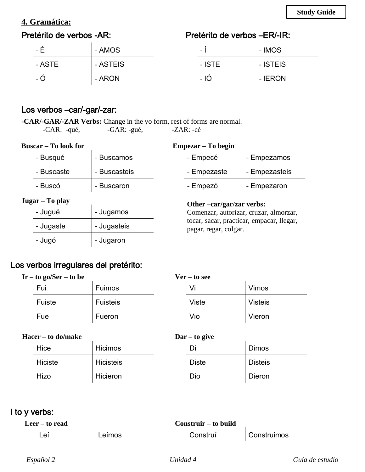# **4. Gramática:**

# Pretérito de verbos -AR:

# Pretérito de verbos –ER/-IR:

| - H    | - AMOS   | -          | - IMOS   |
|--------|----------|------------|----------|
| - ASTE | - ASTEIS | - ISTE     | - ISTEIS |
| - O    | - ARON   | $-10^{-1}$ | - IERON  |

## Los verbos –car/-gar/-zar:

**-CAR/-GAR/-ZAR Verbs:** Change in the yo form, rest of forms are normal.<br>-CAR: -qué, -GAR: -gué, -ZAR: -cé  $-GAR: -gu\acute{e},$   $-ZAR: -c\acute{e}$ 

| <b>Buscar</b> – To look for |  |  |  |
|-----------------------------|--|--|--|
|-----------------------------|--|--|--|

### **Empezar – To begin**

| $P^{13}$          |              |                                                                    | енірс <i>і</i> аі — то ос <u>е</u> ні  |               |
|-------------------|--------------|--------------------------------------------------------------------|----------------------------------------|---------------|
| - Busqué          | - Buscamos   |                                                                    | - Empecé                               | - Empezamos   |
| - Buscaste        | - Buscasteis |                                                                    | - Empezaste                            | - Empezasteis |
| - Buscó           | - Buscaron   |                                                                    | - Empezó                               | - Empezaron   |
| $Jugar - To play$ |              |                                                                    | Other -car/gar/zar verbs:              |               |
| - Jugué           | - Jugamos    |                                                                    | Comenzar, autorizar, cruzar, almorzar, |               |
| - Jugaste         | - Jugasteis  | tocar, sacar, practicar, empacar, llegar,<br>pagar, regar, colgar. |                                        |               |
| - Jugó            | - Jugaron    |                                                                    |                                        |               |
|                   |              |                                                                    |                                        |               |

# Los verbos irregulares del pretérito:

| $Ir - to go/Ser - to be$ |                 | $Ver - to see$ |                |
|--------------------------|-----------------|----------------|----------------|
| Fui                      | Fuimos          | Vi             | <b>Vimos</b>   |
| Fuiste                   | <b>Fuisteis</b> | <b>Viste</b>   | <b>Visteis</b> |
| Fue                      | Fueron          | Vio            | Vieron         |

#### **Hacer – to do/make**

| сі — IV цілінакс |           |  |
|------------------|-----------|--|
| Hice             | Hicimos   |  |
| Hiciste          | Hicisteis |  |
| Hizo             | Hicieron  |  |

| $\text{Dar} - \text{to give}$ |                |
|-------------------------------|----------------|
| I)۱                           | <b>Dimos</b>   |
| <b>Diste</b>                  | <b>Disteis</b> |
| Dio                           | Dieron         |

## i to y verbs:

| Leer – to read<br>Construir – to build |        |          |             |
|----------------------------------------|--------|----------|-------------|
| Leí                                    | Leímos | Construí | Construimos |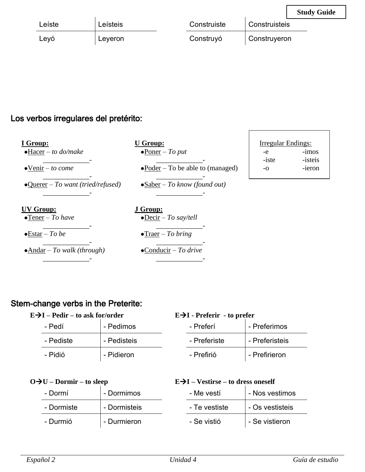|        |          |             |               | <b>Study Guide</b> |
|--------|----------|-------------|---------------|--------------------|
| Leíste | Leísteis | Construiste | Construisteis |                    |
| Leyó   | Leyeron  | Construyó   | Construyeron  |                    |

# Los verbos irregulares del pretérito:

| I Group:<br>$\bullet$ Hacer – to do/make   | <b>U</b> Group:<br>$\bullet$ Poner – To put | Irregular Endings:<br>-e | $-1mos$           |
|--------------------------------------------|---------------------------------------------|--------------------------|-------------------|
| $\bullet$ Venir – to come                  | $\bullet$ Poder – To be able to (managed)   | -iste<br>$-0$            | -isteis<br>-ieron |
| $\bullet$ Querer – To want (tried/refused) | $\bullet$ Saber – To know (found out)       |                          |                   |
| UV Group:<br>$\bullet$ Tener – To have     | J Group:<br>$\bullet$ Decir – To say/tell   |                          |                   |
| $\bullet$ Estar – To be                    | $\bullet$ Traer – To bring                  |                          |                   |
| $\bullet$ Andar – To walk (through)        | $\bullet$ Conducir – To drive               |                          |                   |

# Stem-change verbs in the Preterite:

| $E\rightarrow I$ – Pedir – to ask for/order |             |  |
|---------------------------------------------|-------------|--|
| - Pedí                                      | - Pedimos   |  |
| - Pediste                                   | - Pedisteis |  |
| - Pidió                                     | - Pidieron  |  |

## **E**→**I - Preferir - to prefer**

| - Preferí    | - Preferimos   |
|--------------|----------------|
| - Preferiste | - Preferisteis |
| - Prefirió   | - Prefirieron  |

 $\Gamma$ 

# **O**→**U – Dormir – to sleep**

| U – Dormir – to sleep |              | $E \rightarrow I - Vestirse - to dress oneself$ |               |                 |
|-----------------------|--------------|-------------------------------------------------|---------------|-----------------|
| - Dormí               | - Dormimos   |                                                 | - Me vestí    | - Nos vestimos  |
| - Dormiste            | - Dormisteis |                                                 | - Te vestiste | - Os vestisteis |
| - Durmió              | - Durmieron  |                                                 | - Se vistió   | - Se vistieron  |

٦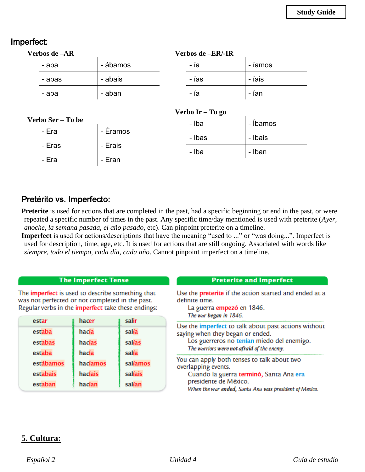## Imperfect:

| Verbos de –AR |          | Verbos de -ER/-IR |         |  |
|---------------|----------|-------------------|---------|--|
| - aba         | - ábamos | - ia              | - iamos |  |
| - abas        | - abais  | - ías             | - íais  |  |
| - aba         | - aban   | - ía              | - ían   |  |
|               |          |                   |         |  |

### **Verbo Ser – To be**

| rdo 5er – 10 de |          | - Iba  | - Ibamos |
|-----------------|----------|--------|----------|
| - Era           | - Éramos | - Ibas | - Ibais  |
| - Eras          | - Erais  |        |          |
| - Era           | - Eran   | - Iba  | - Iban   |

**Verbo Ir – To go**

 $\overline{\phantom{a}}$ 

## Pretérito vs. Imperfecto:

**Preterite** is used for actions that are completed in the past, had a specific beginning or end in the past, or were repeated a specific number of times in the past. Any specific time/day mentioned is used with preterite (*Ayer, anoche, la semana pasada, el año pasado*, etc). Can pinpoint preterite on a timeline.

**Imperfect** is used for actions/descriptions that have the meaning "used to ..." or "was doing...". Imperfect is used for description, time, age, etc. It is used for actions that are still ongoing. Associated with words like *siempre, todo el tiempo, cada día, cada año*. Cannot pinpoint imperfect on a timeline.

#### **The Imperfect Tense**

The *imperfect* is used to describe something that was not perfected or not completed in the past. Regular verbs in the *imperfect* take these endings:

| estar     | hacer    | salir    |
|-----------|----------|----------|
| estaba    | hacía    | salía    |
| estabas   | hacías   | salías   |
| estaba    | hacía    | salía    |
| estábamos | hacíamos | salíamos |
| estabais  | hacíais  | salíais  |
| estaban   | hacían   | salían   |

| <b>Preterite and Imperfect</b>                                                                                                                                                                   |
|--------------------------------------------------------------------------------------------------------------------------------------------------------------------------------------------------|
| Use the <b>preterite</b> if the action started and ended at a<br>definite time.<br>La guerra empezó en 1846.<br>The war began in 1846.                                                           |
| Use the imperfect to talk about past actions without<br>saying when they began or ended.<br>Los guerreros no tenían miedo del enemigo.<br>The warriors were not afraid of the enemy.             |
| You can apply both tenses to talk about two<br>overlapping events.<br>Cuando la guerra terminó, Santa Ana era<br>presidente de México.<br>When the war ended, Santa Ana was president of Mexico. |

## **5. Cultura:**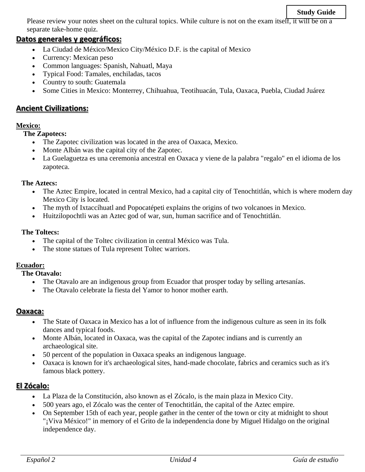#### **Study Guide**

Please review your notes sheet on the cultural topics. While culture is not on the exam itself, it will be on a separate take-home quiz.

### **Datos generales y geográficos:**

- La Ciudad de México/Mexico City/México D.F. is the capital of Mexico
- Currency: Mexican peso
- Common languages: Spanish, Nahuatl, Maya
- Typical Food: Tamales, enchiladas, tacos
- Country to south: Guatemala
- Some Cities in Mexico: Monterrey, Chihuahua, Teotihuacán, Tula, Oaxaca, Puebla, Ciudad Juárez

### **Ancient Civilizations:**

#### **Mexico:**

**The Zapotecs:**

- The Zapotec civilization was located in the area of Oaxaca, Mexico.
- Monte Albán was the capital city of the Zapotec.
- La Guelaguetza es una ceremonia ancestral en Oaxaca y viene de la palabra "regalo" en el idioma de los zapoteca.

#### **The Aztecs:**

- The Aztec Empire, located in central Mexico, had a capital city of Tenochtitlán, which is where modern day Mexico City is located.
- The myth of Ixtaccíhuatl and Popocatépeti explains the origins of two volcanoes in Mexico.
- Huitzilopochtli was an Aztec god of war, sun, human sacrifice and of Tenochtitlán.

#### **The Toltecs:**

- The capital of the Toltec civilization in central México was Tula.
- The stone statues of Tula represent Toltec warriors.

#### **Ecuador:**

**The Otavalo:**

- The Otavalo are an indigenous group from Ecuador that prosper today by selling artesanías.
- The Otavalo celebrate la fiesta del Yamor to honor mother earth.

#### **Oaxaca:**

- The State of Oaxaca in Mexico has a lot of influence from the indigenous culture as seen in its folk dances and typical foods.
- Monte Albán, located in Oaxaca, was the capital of the Zapotec indians and is currently an archaeological site.
- 50 percent of the population in Oaxaca speaks an indigenous language.
- Oaxaca is known for it's archaeological sites, hand-made chocolate, fabrics and ceramics such as it's famous black pottery.

### **El Zócalo:**

- La Plaza de la Constitución, also known as el Zócalo, is the main plaza in Mexico City.
- 500 years ago, el Zócalo was the center of Tenochtitlán, the capital of the Aztec empire.
- On September 15th of each year, people gather in the center of the town or city at midnight to shout "¡Viva México!" in memory of el Grito de la independencia done by Miguel Hidalgo on the original independence day.